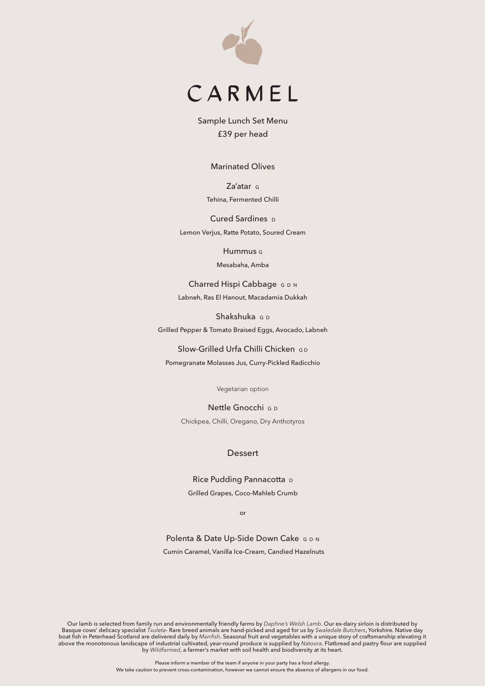



Sample Lunch Set Menu £39 per head

Marinated Olives

Za'atar G Tehina, Fermented Chilli

Cured Sardines D Lemon Verjus, Ratte Potato, Soured Cream

Hummus G

Mesabaha, Amba

Charred Hispi Cabbage G D N Labneh, Ras El Hanout, Macadamia Dukkah

Shakshuka G D Grilled Pepper & Tomato Braised Eggs, Avocado, Labneh

Slow-Grilled Urfa Chilli Chicken GD

Pomegranate Molasses Jus, Curry-Pickled Radicchio

Vegetarian option

Nettle Gnocchi G D Chickpea, Chilli, Oregano, Dry Anthotyros

# **Dessert**

Rice Pudding Pannacotta D Grilled Grapes, Coco-Mahleb Crumb

or

Polenta & Date Up-Side Down Cake G D N Cumin Caramel, Vanilla Ice-Cream, Candied Hazelnuts

Our lamb is selected from family run and environmentally friendly farms by *Daphne's Welsh Lamb*. Our ex-dairy sirloin is distributed by Basque cows' delicacy specialist *Txuleta*- Rare breed animals are hand-picked and aged for us by *Swaledale Butchers*, Yorkshire. Native day boat fish in Peterhead Scotland are delivered daily by *Marrfish*. Seasonal fruit and vegetables with a unique story of craftsmanship elevating it above the monotonous landscape of industrial cultivated, year-round produce is supplied by *Natoora*. Flatbread and pastry flour are supplied by *Wildfarmed*, a farmer's market with soil health and biodiversity at its heart.